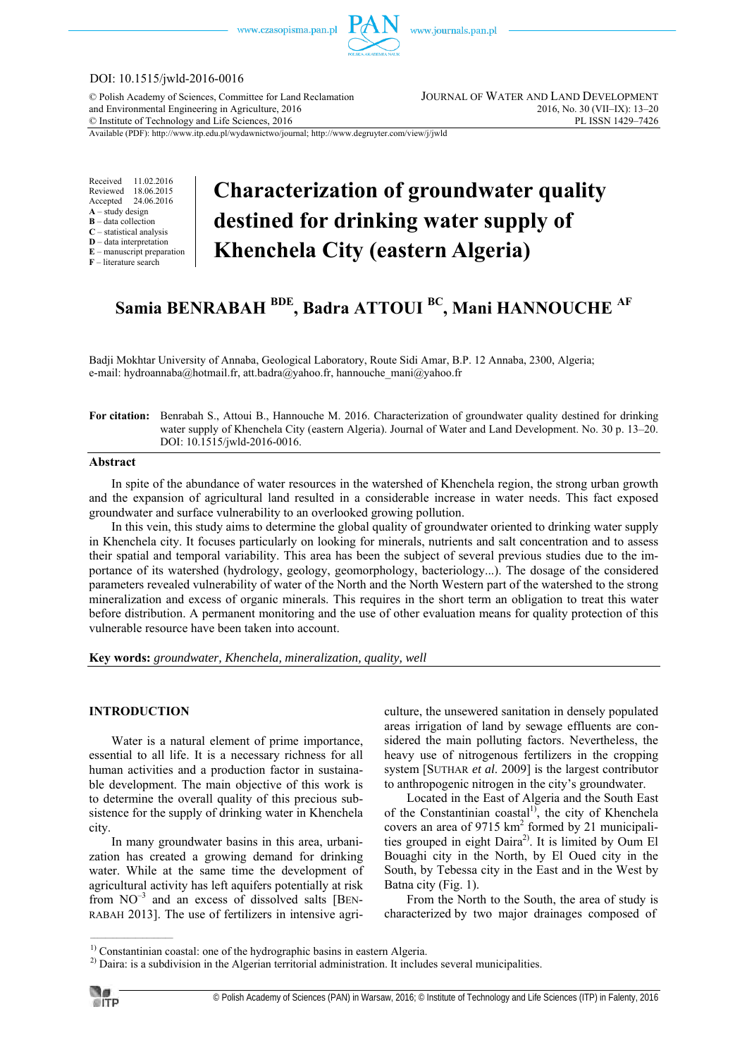

#### DOI: 10.1515/jwld-2016-0016

© Polish Academy of Sciences, Committee for Land Reclamation JOURNAL OF WATER AND LAND DEVELOPMENT and Environmental Engineering in Agriculture, 2016 2016, No. 30 (VII–IX): 13–20<br>
© Institute of Technology and Life Sciences, 2016  $©$  Institute of Technology and Life Sciences, 2016

Available (PDF): http://www.itp.edu.pl/wydawnictwo/journal; http://www.degruyter.com/view/j/jwld

Received 11.02.2016 Reviewed 18.06.2015<br>Accepted 24.06.2016 24.06.2016  $\overrightarrow{A}$  – study design **B** – data collection **C** – statistical analysis **D** – data interpretation

**E** – manuscript preparation

**F** – literature search

# **Characterization of groundwater quality destined for drinking water supply of Khenchela City (eastern Algeria)**

# Samia BENRABAH <sup>BDE</sup>, Badra ATTOUI <sup>BC</sup>, Mani HANNOUCHE <sup>AF</sup>

Badji Mokhtar University of Annaba, Geological Laboratory, Route Sidi Amar, B.P. 12 Annaba, 2300, Algeria; e-mail: hydroannaba@hotmail.fr, att.badra@yahoo.fr, hannouche\_mani@yahoo.fr

#### **For citation:** Benrabah S., Attoui B., Hannouche M. 2016. Characterization of groundwater quality destined for drinking water supply of Khenchela City (eastern Algeria). Journal of Water and Land Development. No. 30 p. 13–20. DOI: 10.1515/jwld-2016-0016.

### **Abstract**

In spite of the abundance of water resources in the watershed of Khenchela region, the strong urban growth and the expansion of agricultural land resulted in a considerable increase in water needs. This fact exposed groundwater and surface vulnerability to an overlooked growing pollution.

In this vein, this study aims to determine the global quality of groundwater oriented to drinking water supply in Khenchela city. It focuses particularly on looking for minerals, nutrients and salt concentration and to assess their spatial and temporal variability. This area has been the subject of several previous studies due to the importance of its watershed (hydrology, geology, geomorphology, bacteriology...). The dosage of the considered parameters revealed vulnerability of water of the North and the North Western part of the watershed to the strong mineralization and excess of organic minerals. This requires in the short term an obligation to treat this water before distribution. A permanent monitoring and the use of other evaluation means for quality protection of this vulnerable resource have been taken into account.

**Key words:** *groundwater, Khenchela, mineralization, quality, well* 

#### **INTRODUCTION**

Water is a natural element of prime importance, essential to all life. It is a necessary richness for all human activities and a production factor in sustainable development. The main objective of this work is to determine the overall quality of this precious subsistence for the supply of drinking water in Khenchela city.

In many groundwater basins in this area, urbanization has created a growing demand for drinking water. While at the same time the development of agricultural activity has left aquifers potentially at risk from  $NO^{-3}$  and an excess of dissolved salts [BEN-RABAH 2013]. The use of fertilizers in intensive agriculture, the unsewered sanitation in densely populated areas irrigation of land by sewage effluents are considered the main polluting factors. Nevertheless, the heavy use of nitrogenous fertilizers in the cropping system [SUTHAR *et al*. 2009] is the largest contributor to anthropogenic nitrogen in the city's groundwater.

Located in the East of Algeria and the South East of the Constantinian coastal<sup>1)</sup>, the city of Khenchela covers an area of 9715  $km^2$  formed by 21 municipalities grouped in eight  $Daira<sup>2</sup>$ . It is limited by Oum El Bouaghi city in the North, by El Oued city in the South, by Tebessa city in the East and in the West by Batna city (Fig. 1).

From the North to the South, the area of study is characterized by two major drainages composed of

 $1)$  Constantinian coastal: one of the hydrographic basins in eastern Algeria.

<sup>&</sup>lt;sup>2)</sup> Daira: is a subdivision in the Algerian territorial administration. It includes several municipalities.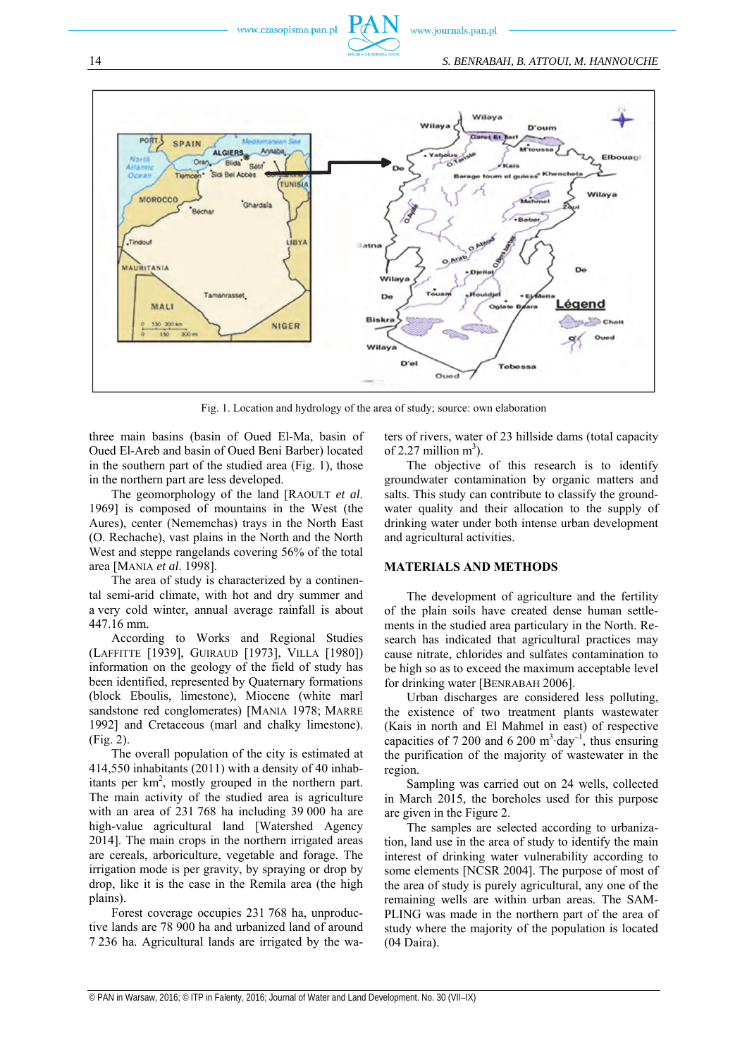

Fig. 1. Location and hydrology of the area of study; source: own elaboration

three main basins (basin of Oued El-Ma, basin of Oued El-Areb and basin of Oued Beni Barber) located in the southern part of the studied area (Fig. 1), those in the northern part are less developed.

The geomorphology of the land [RAOULT *et al*. 1969] is composed of mountains in the West (the Aures), center (Nememchas) trays in the North East (O. Rechache), vast plains in the North and the North West and steppe rangelands covering 56% of the total area [MANIA *et al*. 1998].

The area of study is characterized by a continental semi-arid climate, with hot and dry summer and a very cold winter, annual average rainfall is about 447.16 mm.

According to Works and Regional Studies (LAFFITTE [1939], GUIRAUD [1973], VILLA [1980]) information on the geology of the field of study has been identified, represented by Quaternary formations (block Eboulis, limestone), Miocene (white marl sandstone red conglomerates) [MANIA 1978; MARRE 1992] and Cretaceous (marl and chalky limestone). (Fig. 2).

The overall population of the city is estimated at 414,550 inhabitants (2011) with a density of 40 inhabitants per  $km^2$ , mostly grouped in the northern part. The main activity of the studied area is agriculture with an area of 231 768 ha including 39 000 ha are high-value agricultural land [Watershed Agency 2014]. The main crops in the northern irrigated areas are cereals, arboriculture, vegetable and forage. The irrigation mode is per gravity, by spraying or drop by drop, like it is the case in the Remila area (the high plains).

Forest coverage occupies 231 768 ha, unproductive lands are 78 900 ha and urbanized land of around 7 236 ha. Agricultural lands are irrigated by the waters of rivers, water of 23 hillside dams (total capacity of 2.27 million  $m^3$ ).

The objective of this research is to identify groundwater contamination by organic matters and salts. This study can contribute to classify the groundwater quality and their allocation to the supply of drinking water under both intense urban development and agricultural activities.

#### **MATERIALS AND METHODS**

The development of agriculture and the fertility of the plain soils have created dense human settlements in the studied area particulary in the North. Research has indicated that agricultural practices may cause nitrate, chlorides and sulfates contamination to be high so as to exceed the maximum acceptable level for drinking water [BENRABAH 2006].

Urban discharges are considered less polluting, the existence of two treatment plants wastewater (Kais in north and El Mahmel in east) of respective capacities of 7 200 and 6 200 m<sup>3</sup>⋅day<sup>-1</sup>, thus ensuring the purification of the majority of wastewater in the region.

Sampling was carried out on 24 wells, collected in March 2015, the boreholes used for this purpose are given in the Figure 2.

The samples are selected according to urbanization, land use in the area of study to identify the main interest of drinking water vulnerability according to some elements [NCSR 2004]. The purpose of most of the area of study is purely agricultural, any one of the remaining wells are within urban areas. The SAM-PLING was made in the northern part of the area of study where the majority of the population is located (04 Daira).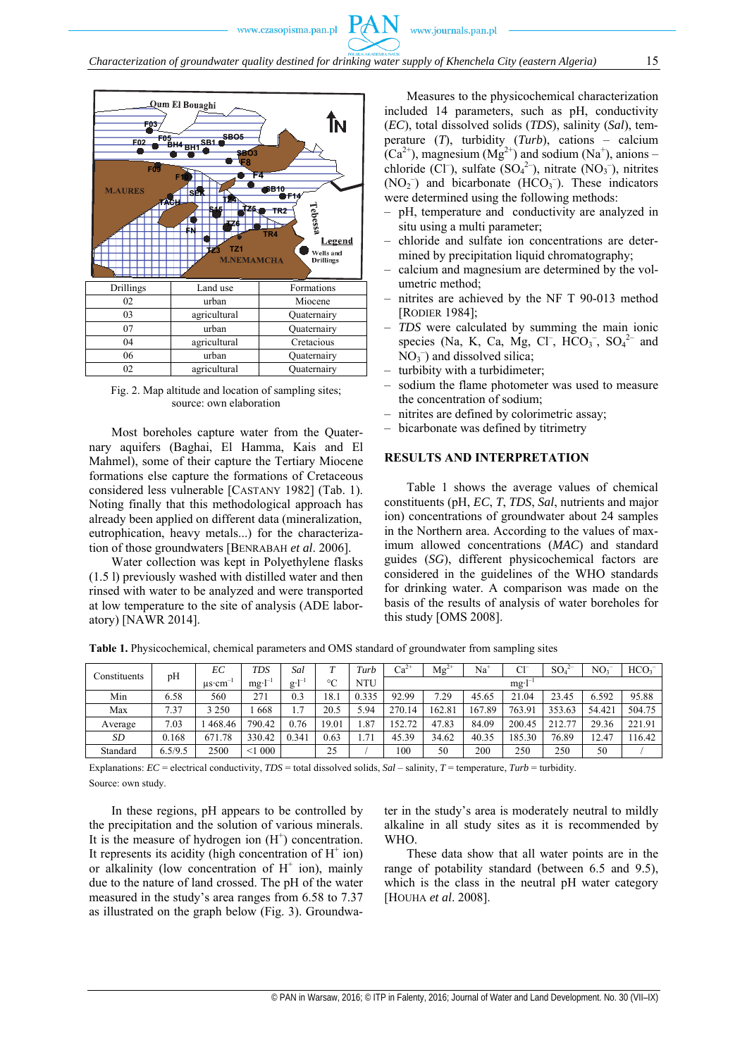

Fig. 2. Map altitude and location of sampling sites; source: own elaboration

Most boreholes capture water from the Quaternary aquifers (Baghai, El Hamma, Kais and El Mahmel), some of their capture the Tertiary Miocene formations else capture the formations of Cretaceous considered less vulnerable [CASTANY 1982] (Tab. 1). Noting finally that this methodological approach has already been applied on different data (mineralization, eutrophication, heavy metals...) for the characterization of those groundwaters [BENRABAH *et al*. 2006].

Water collection was kept in Polyethylene flasks (1.5 l) previously washed with distilled water and then rinsed with water to be analyzed and were transported at low temperature to the site of analysis (ADE laboratory) [NAWR 2014].

Measures to the physicochemical characterization included 14 parameters, such as pH, conductivity (*EC*), total dissolved solids (*TDS*), salinity (*Sal*), temperature (*T*), turbidity (*Turb*), cations – calcium  $(Ca^{2+})$ , magnesium  $(Mg^{2+})$  and sodium (Na<sup>+</sup>), anions – chloride (Cl<sup>-</sup>), sulfate  $(SO_4^2)$ , nitrate  $(NO_3)$ , nitrites  $(NO<sub>2</sub><sup>-</sup>)$  and bicarbonate  $(HCO<sub>3</sub><sup>-</sup>)$ . These indicators were determined using the following methods:

- pH, temperature and conductivity are analyzed in situ using a multi parameter;
- chloride and sulfate ion concentrations are determined by precipitation liquid chromatography;
- calcium and magnesium are determined by the volumetric method;
- nitrites are achieved by the NF T 90-013 method [RODIER 1984];
- *TDS* were calculated by summing the main ionic species (Na, K, Ca, Mg, Cl<sup>-</sup>, HCO<sub>3</sub><sup>-</sup>, SO<sub>4</sub><sup>2-</sup> and  $NO<sub>3</sub><sup>-</sup>$ ) and dissolved silica;
- turbibity with a turbidimeter;
- sodium the flame photometer was used to measure the concentration of sodium;
- nitrites are defined by colorimetric assay;
- bicarbonate was defined by titrimetry

#### **RESULTS AND INTERPRETATION**

Table 1 shows the average values of chemical constituents (pH, *EC*, *T*, *TDS*, *Sal*, nutrients and major ion) concentrations of groundwater about 24 samples in the Northern area. According to the values of maximum allowed concentrations (*MAC*) and standard guides (*SG*), different physicochemical factors are considered in the guidelines of the WHO standards for drinking water. A comparison was made on the basis of the results of analysis of water boreholes for this study [OMS 2008].

| Constituents | pH      | ЕC                 | TDS             | Sal              |              | Turb       | $\mathrm{Ca}^{2+}$ | $Mg^{2+}$ | Na     | Cl     | $SO_4$ | NO <sub>3</sub> | HCO <sub>3</sub> |
|--------------|---------|--------------------|-----------------|------------------|--------------|------------|--------------------|-----------|--------|--------|--------|-----------------|------------------|
|              |         | $\mu$ s·cm $^{-1}$ | $1 - 1$<br>mg∙l | $g \cdot l^{-1}$ | $\circ$<br>◡ | <b>NTU</b> | mg <sub>1</sub>    |           |        |        |        |                 |                  |
| Min          | 6.58    | 560                | 271             | 0.3              | 18.1         | 0.335      | 92.99              | 7.29      | 45.65  | 21.04  | 23.45  | 6.592           | 95.88            |
| Max          | 7.37    | 3 2 5 0            | 668             | 1.7              | 20.5         | 5.94       | 270.14             | 162.81    | 167.89 | 763.91 | 353.63 | 54.421          | 504.75           |
| Average      | 7.03    | 468.46             | 790.42          | 0.76             | 19.01        | 1.87       | 152.72             | 47.83     | 84.09  | 200.45 | 212.77 | 29.36           | 221.91           |
| SD           | 0.168   | 671.78             | 330.42          | 0.341            | 0.63         | 1.71       | 45.39              | 34.62     | 40.35  | 185.30 | 76.89  | 12.47           | 116.42           |
| Standard     | 6.5/9.5 | 2500               | < 1000          |                  | 25           |            | 100                | 50        | 200    | 250    | 250    | 50              |                  |

**Table 1.** Physicochemical, chemical parameters and OMS standard of groundwater from sampling sites

Explanations: *EC* = electrical conductivity, *TDS* = total dissolved solids, *Sal* – salinity, *T* = temperature, *Turb* = turbidity. Source: own study.

In these regions, pH appears to be controlled by the precipitation and the solution of various minerals. It is the measure of hydrogen ion  $(H<sup>+</sup>)$  concentration. It represents its acidity (high concentration of  $H^+$  ion) or alkalinity (low concentration of  $H^+$  ion), mainly due to the nature of land crossed. The pH of the water measured in the study's area ranges from 6.58 to 7.37 as illustrated on the graph below (Fig. 3). Groundwater in the study's area is moderately neutral to mildly alkaline in all study sites as it is recommended by WHO.

These data show that all water points are in the range of potability standard (between 6.5 and 9.5), which is the class in the neutral pH water category [HOUHA *et al*. 2008].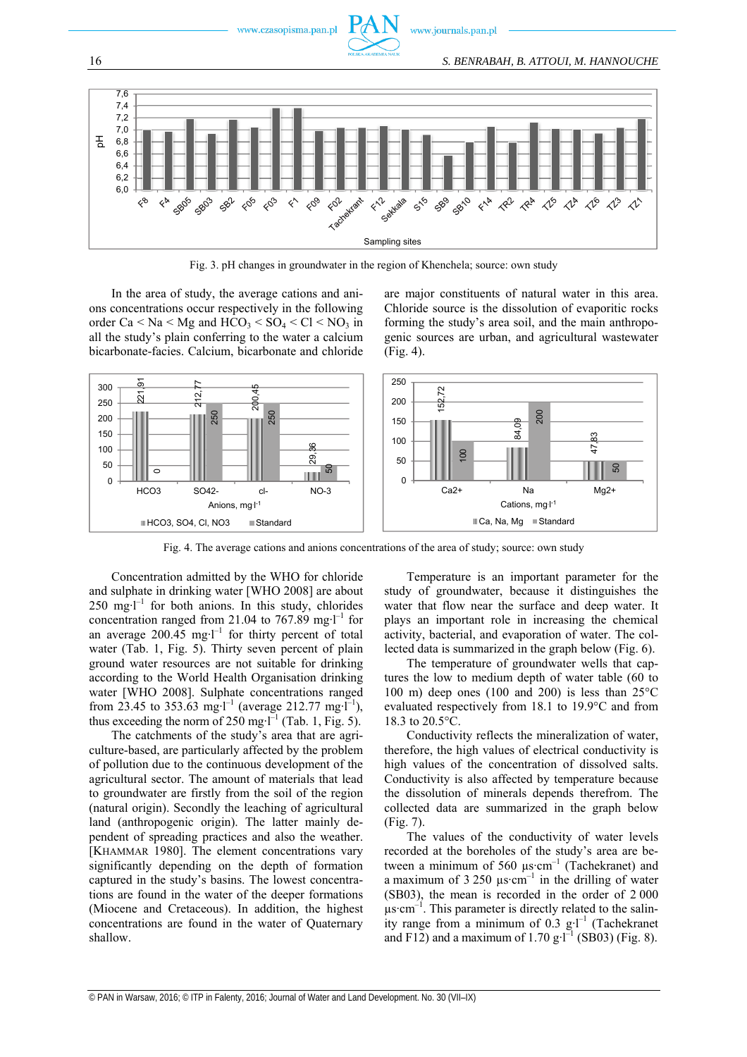

Fig. 3. pH changes in groundwater in the region of Khenchela; source: own study

In the area of study, the average cations and anions concentrations occur respectively in the following order Ca < Na < Mg and  $HCO<sub>3</sub>$  < SO<sub>4</sub> < Cl < NO<sub>3</sub> in all the study's plain conferring to the water a calcium bicarbonate-facies. Calcium, bicarbonate and chloride are major constituents of natural water in this area. Chloride source is the dissolution of evaporitic rocks forming the study's area soil, and the main anthropogenic sources are urban, and agricultural wastewater (Fig. 4).



Fig. 4. The average cations and anions concentrations of the area of study; source: own study

Concentration admitted by the WHO for chloride and sulphate in drinking water [WHO 2008] are about 250 mg⋅l<sup>-1</sup> for both anions. In this study, chlorides concentration ranged from 21.04 to 767.89 mg⋅l<sup>-1</sup> for an average 200.45 mg⋅ $l^{-1}$  for thirty percent of total water (Tab. 1, Fig. 5). Thirty seven percent of plain ground water resources are not suitable for drinking according to the World Health Organisation drinking water [WHO 2008]. Sulphate concentrations ranged from 23.45 to 353.63 mg⋅l<sup>-1</sup> (average 212.77 mg⋅l<sup>-1</sup>), thus exceeding the norm of 250 mg⋅l<sup>-1</sup> (Tab. 1, Fig. 5).

The catchments of the study's area that are agriculture-based, are particularly affected by the problem of pollution due to the continuous development of the agricultural sector. The amount of materials that lead to groundwater are firstly from the soil of the region (natural origin). Secondly the leaching of agricultural land (anthropogenic origin). The latter mainly dependent of spreading practices and also the weather. [KHAMMAR 1980]. The element concentrations vary significantly depending on the depth of formation captured in the study's basins. The lowest concentrations are found in the water of the deeper formations (Miocene and Cretaceous). In addition, the highest concentrations are found in the water of Quaternary shallow.

Temperature is an important parameter for the study of groundwater, because it distinguishes the water that flow near the surface and deep water. It plays an important role in increasing the chemical activity, bacterial, and evaporation of water. The collected data is summarized in the graph below (Fig. 6).

The temperature of groundwater wells that captures the low to medium depth of water table (60 to 100 m) deep ones (100 and 200) is less than 25°C evaluated respectively from 18.1 to 19.9°C and from 18.3 to 20.5°C.

Conductivity reflects the mineralization of water, therefore, the high values of electrical conductivity is high values of the concentration of dissolved salts. Conductivity is also affected by temperature because the dissolution of minerals depends therefrom. The collected data are summarized in the graph below (Fig. 7).

The values of the conductivity of water levels recorded at the boreholes of the study's area are between a minimum of 560 µs∙cm–1 (Tachekranet) and a maximum of 3 250  $\mu$ s⋅cm<sup>-1</sup> in the drilling of water (SB03), the mean is recorded in the order of 2 000 µs⋅cm<sup>-1</sup>. This parameter is directly related to the salinity range from a minimum of 0.3 g⋅l<sup>-1</sup> (Tachekranet and F12) and a maximum of 1.70  $g·l^{-1}$  (SB03) (Fig. 8).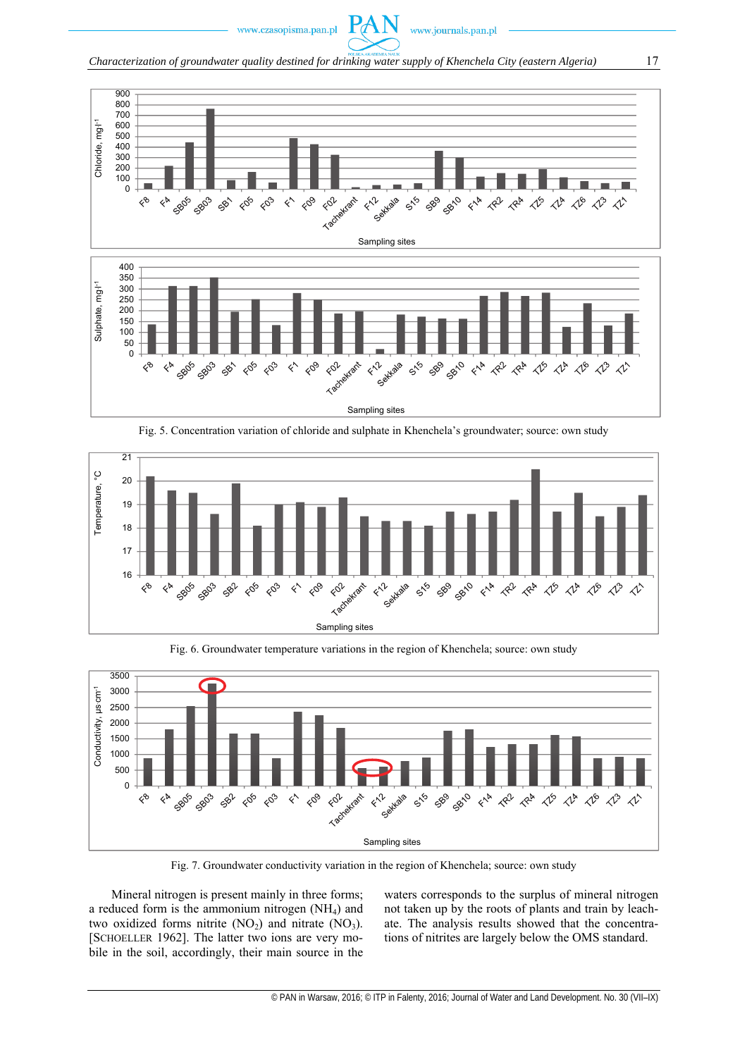*Characterization of groundwater quality destined for drinking water supply of Khenchela City (eastern Algeria)* 17



Fig. 5. Concentration variation of chloride and sulphate in Khenchela's groundwater; source: own study Sampling sites



Fig. 6. Groundwater temperature variations in the region of Khenchela; source: own study



Fig. 7. Groundwater conductivity variation in the region of Khenchela; source: own study

Mineral nitrogen is present mainly in three forms; a reduced form is the ammonium nitrogen  $(NH<sub>4</sub>)$  and two oxidized forms nitrite  $(NO<sub>2</sub>)$  and nitrate  $(NO<sub>3</sub>)$ . [SCHOELLER 1962]. The latter two ions are very mobile in the soil, accordingly, their main source in the waters corresponds to the surplus of mineral nitrogen not taken up by the roots of plants and train by leachate. The analysis results showed that the concentrations of nitrites are largely below the OMS standard.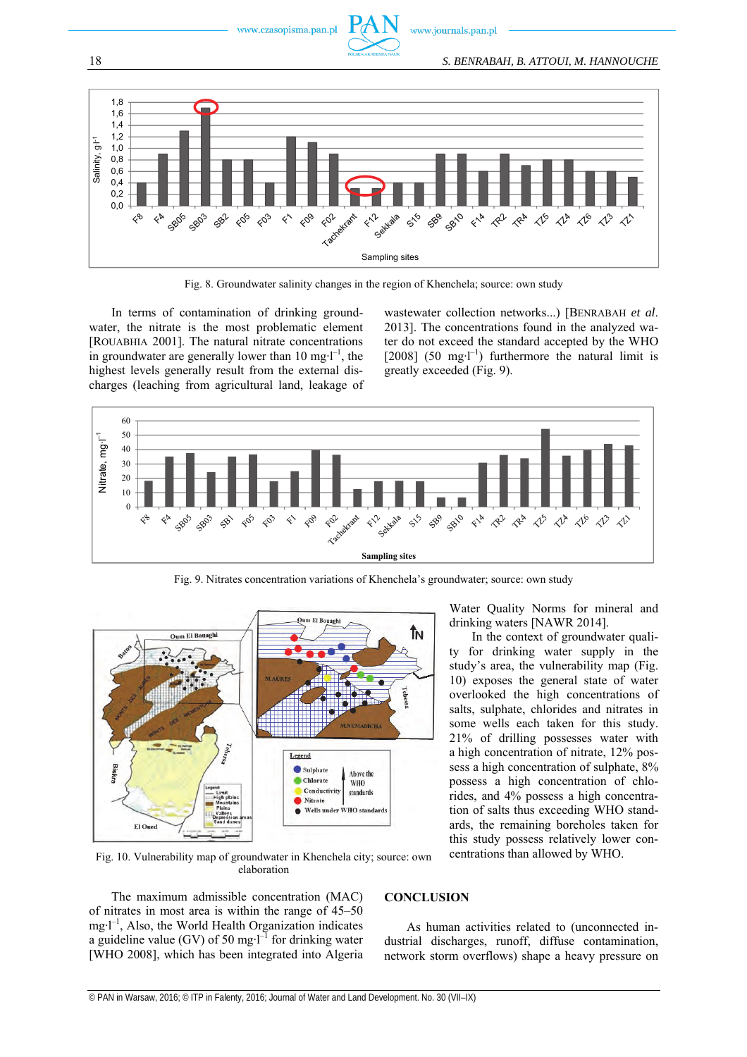

Fig. 8. Groundwater salinity changes in the region of Khenchela; source: own study

In terms of contamination of drinking groundwater, the nitrate is the most problematic element [ROUABHIA 2001]. The natural nitrate concentrations in groundwater are generally lower than 10 mg⋅l<sup>-1</sup>, the highest levels generally result from the external discharges (leaching from agricultural land, leakage of wastewater collection networks...) [BENRABAH *et al*. 2013]. The concentrations found in the analyzed water do not exceed the standard accepted by the WHO [2008] (50 mg⋅l<sup>-1</sup>) furthermore the natural limit is greatly exceeded (Fig. 9).



Fig. 9. Nitrates concentration variations of Khenchela's groundwater; source: own study



Water Quality Norms for mineral and drinking waters [NAWR 2014].

In the context of groundwater quality for drinking water supply in the study's area, the vulnerability map (Fig. 10) exposes the general state of water overlooked the high concentrations of salts, sulphate, chlorides and nitrates in some wells each taken for this study. 21% of drilling possesses water with a high concentration of nitrate, 12% possess a high concentration of sulphate, 8% possess a high concentration of chlorides, and 4% possess a high concentration of salts thus exceeding WHO standards, the remaining boreholes taken for this study possess relatively lower concentrations than allowed by WHO.

Fig. 10. Vulnerability map of groundwater in Khenchela city; source: own elaboration

The maximum admissible concentration (MAC) of nitrates in most area is within the range of 45–50 mg⋅l<sup>-1</sup>, Also, the World Health Organization indicates a guideline value (GV) of 50 mg⋅l<sup>-1</sup> for drinking water [WHO 2008], which has been integrated into Algeria

# **CONCLUSION**

As human activities related to (unconnected industrial discharges, runoff, diffuse contamination, network storm overflows) shape a heavy pressure on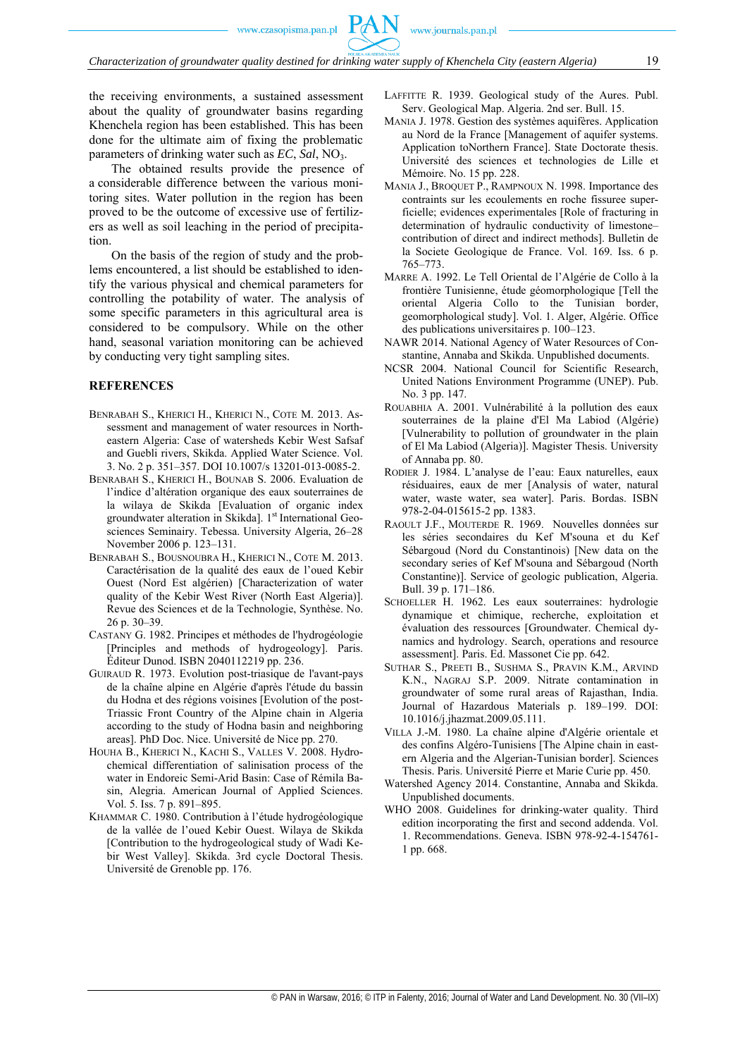the receiving environments, a sustained assessment about the quality of groundwater basins regarding Khenchela region has been established. This has been done for the ultimate aim of fixing the problematic parameters of drinking water such as *EC*, *Sal*, NO<sub>3</sub>.

The obtained results provide the presence of a considerable difference between the various monitoring sites. Water pollution in the region has been proved to be the outcome of excessive use of fertilizers as well as soil leaching in the period of precipitation.

On the basis of the region of study and the problems encountered, a list should be established to identify the various physical and chemical parameters for controlling the potability of water. The analysis of some specific parameters in this agricultural area is considered to be compulsory. While on the other hand, seasonal variation monitoring can be achieved by conducting very tight sampling sites.

#### **REFERENCES**

- BENRABAH S., KHERICI H., KHERICI N., COTE M. 2013. Assessment and management of water resources in Northeastern Algeria: Case of watersheds Kebir West Safsaf and Guebli rivers, Skikda. Applied Water Science. Vol. 3. No. 2 p. 351–357. DOI 10.1007/s 13201-013-0085-2.
- BENRABAH S., KHERICI H., BOUNAB S. 2006. Evaluation de l'indice d'altération organique des eaux souterraines de la wilaya de Skikda [Evaluation of organic index groundwater alteration in Skikda]. 1<sup>st</sup> International Geosciences Seminairy. Tebessa. University Algeria, 26–28 November 2006 p. 123–131.
- BENRABAH S., BOUSNOUBRA H., KHERICI N., COTE M. 2013. Caractérisation de la qualité des eaux de l'oued Kebir Ouest (Nord Est algérien) [Characterization of water quality of the Kebir West River (North East Algeria)]. Revue des Sciences et de la Technologie, Synthèse. No. 26 p. 30–39.
- CASTANY G. 1982. Principes et méthodes de l'hydrogéologie [Principles and methods of hydrogeology]. Paris. Éditeur Dunod. ISBN 2040112219 pp. 236.
- GUIRAUD R. 1973. Evolution post-triasique de l'avant-pays de la chaîne alpine en Algérie d'après l'étude du bassin du Hodna et des régions voisines [Evolution of the post-Triassic Front Country of the Alpine chain in Algeria according to the study of Hodna basin and neighboring areas]. PhD Doc. Nice. Université de Nice pp. 270.
- HOUHA B., KHERICI N., KACHI S., VALLES V. 2008. Hydrochemical differentiation of salinisation process of the water in Endoreic Semi-Arid Basin: Case of Rémila Basin, Alegria. American Journal of Applied Sciences. Vol. 5. Iss. 7 p. 891–895.
- KHAMMAR C. 1980. Contribution à l'étude hydrogéologique de la vallée de l'oued Kebir Ouest. Wilaya de Skikda [Contribution to the hydrogeological study of Wadi Kebir West Valley]. Skikda. 3rd cycle Doctoral Thesis. Université de Grenoble pp. 176.
- LAFFITTE R. 1939. Geological study of the Aures. Publ. Serv. Geological Map. Algeria. 2nd ser. Bull. 15.
- MANIA J. 1978. Gestion des systèmes aquifères. Application au Nord de la France [Management of aquifer systems. Application toNorthern France]. State Doctorate thesis. Université des sciences et technologies de Lille et Mémoire. No. 15 pp. 228.
- MANIA J., BROQUET P., RAMPNOUX N. 1998. Importance des contraints sur les ecoulements en roche fissuree superficielle; evidences experimentales [Role of fracturing in determination of hydraulic conductivity of limestone– contribution of direct and indirect methods]. Bulletin de la Societe Geologique de France. Vol. 169. Iss. 6 p. 765–773.
- MARRE A. 1992. Le Tell Oriental de l'Algérie de Collo à la frontière Tunisienne, étude géomorphologique [Tell the oriental Algeria Collo to the Tunisian border, geomorphological study]. Vol. 1. Alger, Algérie. Office des publications universitaires p. 100–123.
- NAWR 2014. National Agency of Water Resources of Constantine, Annaba and Skikda. Unpublished documents.
- NCSR 2004. National Council for Scientific Research, United Nations Environment Programme (UNEP). Pub. No. 3 pp. 147.
- ROUABHIA A. 2001. Vulnérabilité à la pollution des eaux souterraines de la plaine d'El Ma Labiod (Algérie) [Vulnerability to pollution of groundwater in the plain of El Ma Labiod (Algeria)]. Magister Thesis. University of Annaba pp. 80.
- RODIER J. 1984. L'analyse de l'eau: Eaux naturelles, eaux résiduaires, eaux de mer [Analysis of water, natural water, waste water, sea water]. Paris. Bordas. ISBN 978-2-04-015615-2 pp. 1383.
- RAOULT J.F., MOUTERDE R. 1969. Nouvelles données sur les séries secondaires du Kef M'souna et du Kef Sébargoud (Nord du Constantinois) [New data on the secondary series of Kef M'souna and Sébargoud (North Constantine)]. Service of geologic publication, Algeria. Bull. 39 p. 171–186.
- SCHOELLER H. 1962. Les eaux souterraines: hydrologie dynamique et chimique, recherche, exploitation et évaluation des ressources [Groundwater. Chemical dynamics and hydrology. Search, operations and resource assessment]. Paris. Ed. Massonet Cie pp. 642.
- SUTHAR S., PREETI B., SUSHMA S., PRAVIN K.M., ARVIND K.N., NAGRAJ S.P. 2009. Nitrate contamination in groundwater of some rural areas of Rajasthan, India. Journal of Hazardous Materials p. 189–199. DOI: 10.1016/j.jhazmat.2009.05.111.
- VILLA J.-M. 1980. La chaîne alpine d'Algérie orientale et des confins Algéro-Tunisiens [The Alpine chain in eastern Algeria and the Algerian-Tunisian border]. Sciences Thesis. Paris. Université Pierre et Marie Curie pp. 450.
- Watershed Agency 2014. Constantine, Annaba and Skikda. Unpublished documents.
- WHO 2008. Guidelines for drinking-water quality. Third edition incorporating the first and second addenda. Vol. 1. Recommendations. Geneva. ISBN 978-92-4-154761- 1 pp. 668.